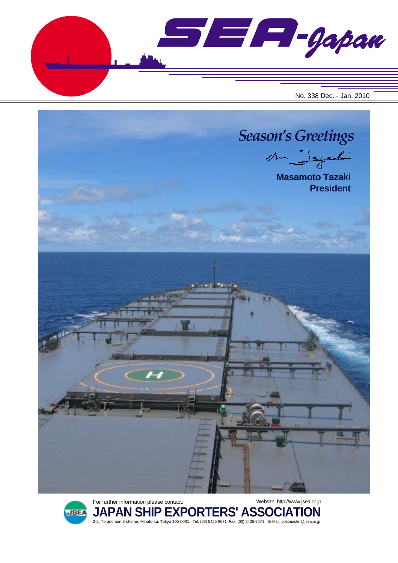$\blacksquare$  $\blacksquare$  $\blacksquare$  $\blacksquare$ No. 338 Dec. - Jan. 2010





For further information please contact: **JAPAN SHIP EXPORTERS' ASSOCIATION** 2-2, Toranomon 3-chome, Minato-ku, Tokyo 105-0001 Tel: (03) 5425-9671 Fax: (03) 5425-9674 E-Mail: postmaster@jsea.or.jp Website: http://www.jsea.or.jp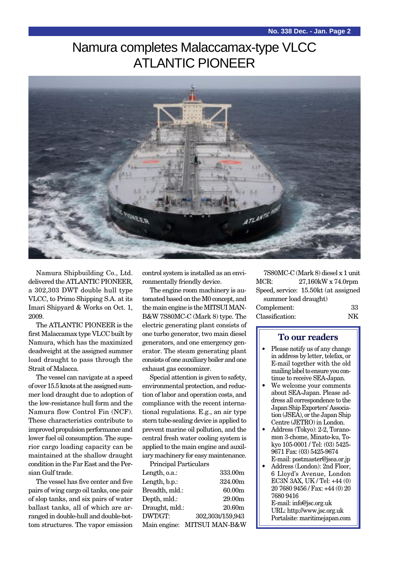# Namura completes Malaccamax-type VLCC ATLANTIC PIONEER



Namura Shipbuilding Co., Ltd. delivered the ATLANTIC PIONEER, a 302,303 DWT double hull type VLCC, to Primo Shipping S.A. at its Imari Shipyard & Works on Oct. 1, 2009.

The ATLANTIC PIONEER is the first Malaccamax type VLCC built by Namura, which has the maximized deadweight at the assigned summer load draught to pass through the Strait of Malacca.

The vessel can navigate at a speed of over 15.5 knots at the assigned summer load draught due to adoption of the low-resistance hull form and the Namura flow Control Fin (NCF). These characteristics contribute to improved propulsion performance and lower fuel oil consumption. The superior cargo loading capacity can be maintained at the shallow draught condition in the Far East and the Persian Gulf trade.

The vessel has five center and five pairs of wing cargo oil tanks, one pair of slop tanks, and six pairs of water ballast tanks, all of which are arranged in double-hull and double-bottom structures. The vapor emission

control system is installed as an environmentally friendly device.

The engine room machinery is automated based on the M0 concept, and the main engine is the MITSUI MAN-B&W 7S80MC-C (Mark 8) type. The electric generating plant consists of one turbo generator, two main diesel generators, and one emergency generator. The steam generating plant consists of one auxiliary boiler and one exhaust gas economizer.

Special attention is given to safety, environmental protection, and reduction of labor and operation costs, and compliance with the recent international regulations. E.g., an air type stern tube-sealing device is applied to prevent marine oil pollution, and the central fresh water cooling system is applied to the main engine and auxiliary machinery for easy maintenance.

| Principal Particulars |                             |
|-----------------------|-----------------------------|
| Length, o.a.:         | 333.00m                     |
| Length, b.p.:         | 324.00m                     |
| Breadth, mld.:        | 60.00m                      |
| Depth, mld.:          | 29.00 <sub>m</sub>          |
| Draught, mld.:        | 20.60 <sub>m</sub>          |
| DWT/GT:               | 302,303t/159,943            |
|                       | Main engine: MITSUI MAN-B&W |

7S80MC-C (Mark 8) diesel x 1 unit MCR: 27.160kW x 74.0rpm Speed, service: 15.50kt (at assigned summer load draught) Complement: 33

| $\overline{\phantom{a}}$<br>۰. |
|--------------------------------|
|                                |

#### **To our readers**

Classification:

- Please notify us of any change in address by letter, telefax, or E-mail together with the old mailing label to ensure you continue to receive SEA-Japan.
- We welcome your comments about SEA-Japan. Please address all correspondence to the Japan Ship Exporters' Association (JSEA), or the Japan Ship Centre (JETRO) in London.
- Address (Tokyo): 2-2, Toranomon 3-chome, Minato-ku, Tokyo 105-0001 / Tel: (03) 5425- 9671 Fax: (03) 5425-9674 E-mail: postmaster@jsea.or.jp
- Address (London): 2nd Floor, 6 Lloyd's Avenue, London EC3N 3AX, UK / Tel: +44 (0) 20 7680 9456 / Fax: +44 (0) 20 7680 9416

E-mail: info@jsc.org.uk URL: http://www.jsc.org.uk Portalsite: maritimejapan.com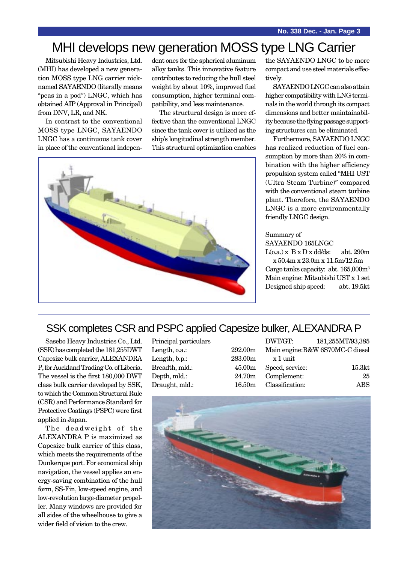# MHI develops new generation MOSS type LNG Carrier

Mitsubishi Heavy Industries, Ltd. (MHI) has developed a new generation MOSS type LNG carrier nicknamed SAYAENDO (literally means "peas in a pod") LNGC, which has obtained AIP (Approval in Principal) from DNV, LR, and NK.

In contrast to the conventional MOSS type LNGC, SAYAENDO LNGC has a continuous tank cover in place of the conventional independent ones for the spherical aluminum alloy tanks. This innovative feature contributes to reducing the hull steel weight by about 10%, improved fuel consumption, higher terminal compatibility, and less maintenance.

The structural design is more effective than the conventional LNGC since the tank cover is utilized as the ship's longitudinal strength member. This structural optimization enables



the SAYAENDO LNGC to be more compact and use steel materials effectively.

SAYAENDO LNGC can also attain higher compatibility with LNG terminals in the world through its compact dimensions and better maintainability because the flying passage supporting structures can be eliminated.

Furthermore, SAYAENDO LNGC has realized reduction of fuel consumption by more than 20% in combination with the higher efficiency propulsion system called "MHI UST (Ultra Steam Turbine)" compared with the conventional steam turbine plant. Therefore, the SAYAENDO LNGC is a more environmentally friendly LNGC design.

#### Summary of

SAYAENDO 165LNGC

 $L(o.a.) \times B \times D \times dd/ds: abt. 290m$ x 50.4m x 23.0m x 11.5m/12.5m Cargo tanks capacity: abt. 165,000m3 Main engine: Mitsubishi UST x 1 set Designed ship speed: abt. 19.5kt

### SSK completes CSR and PSPC applied Capesize bulker, ALEXANDRA P

Sasebo Heavy Industries Co., Ltd. (SSK) has completed the 181,255DWT Capesize bulk carrier, ALEXANDRA P, for Auckland Trading Co. of Liberia. The vessel is the first 180,000 DWT class bulk carrier developed by SSK, to which the Common Structural Rule (CSR) and Performance Standard for Protective Coatings (PSPC) were first applied in Japan.

The deadweight of the ALEXANDRA P is maximized as Capesize bulk carrier of this class, which meets the requirements of the Dunkerque port. For economical ship navigation, the vessel applies an energy-saving combination of the hull form, SS-Fin, low-speed engine, and low-revolution large-diameter propeller. Many windows are provided for all sides of the wheelhouse to give a wider field of vision to the crew.

| Principal particulars |         | DWT/GT:                |
|-----------------------|---------|------------------------|
| Length, o.a.:         | 292.00m | Main engine: B&        |
| Length, b.p.:         | 283.00m | x 1 unit               |
| Breadth, mld.:        | 45.00m  | Speed, service:        |
| Depth, mld.:          |         | 24.70m Complement:     |
| Draught, mld.:        |         | 16.50m Classification: |
|                       |         |                        |

| DWT/GT:         | 181,255MT/93,385                 |
|-----------------|----------------------------------|
|                 | Main engine: B&W 6S70MC-C diesel |
| x 1 unit        |                                  |
| Speed, service: | 15.3 <sub>kt</sub>               |
| Complement:     | 25                               |
| Classification: | ABS                              |

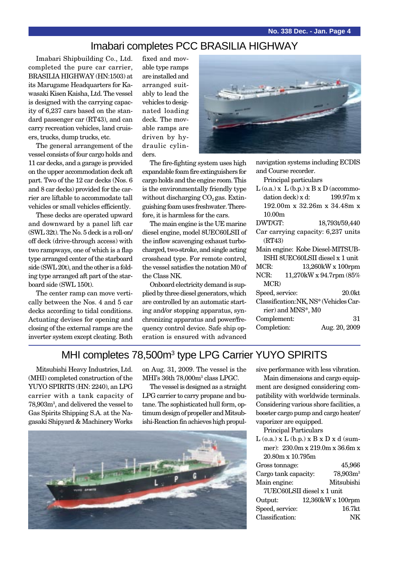### Imabari completes PCC BRASILIA HIGHWAY

Imabari Shipbuilding Co., Ltd. completed the pure car carrier, BRASILIA HIGHWAY (HN:1503) at its Marugame Headquarters for Kawasaki Kisen Kaisha, Ltd. The vessel is designed with the carrying capacity of 6,237 cars based on the standard passenger car (RT43), and can carry recreation vehicles, land cruisers, trucks, dump trucks, etc.

The general arrangement of the vessel consists of four cargo holds and 11 car decks, and a garage is provided on the upper accommodation deck aft part. Two of the 12 car decks (Nos. 6 and 8 car decks) provided for the carrier are liftable to accommodate tall vehicles or small vehicles efficiently.

These decks are operated upward and downward by a panel lift car (SWL 32t). The No. 5 deck is a roll-on/ off deck (drive-through access) with two rampways, one of which is a flap type arranged center of the starboard side (SWL 20t), and the other is a folding type arranged aft part of the starboard side (SWL 150t).

The center ramp can move vertically between the Nos. 4 and 5 car decks according to tidal conditions. Actuating devises for opening and closing of the external ramps are the inverter system except cleating. Both fixed and movable type ramps are installed and arranged suitably to lead the vehicles to designated loading deck. The movable ramps are driven by hydraulic cylinders.



The fire-fighting system uses high expandable foam fire extinguishers for cargo holds and the engine room. This is the environmentally friendly type without discharging  $CO<sub>2</sub>$  gas. Extinguishing foam uses freshwater. Therefore, it is harmless for the cars.

The main engine is the UE marine diesel engine, model 8UEC60LSII of the inflow scavenging exhaust turbocharged, two-stroke, and single acting crosshead type. For remote control, the vessel satisfies the notation M0 of the Class NK.

Onboard electricity demand is supplied by three diesel generators, which are controlled by an automatic starting and/or stopping apparatus, synchronizing apparatus and power/frequency control device. Safe ship operation is ensured with advanced

| navigation systems including ECDIS            |  |  |
|-----------------------------------------------|--|--|
| and Course recorder.                          |  |  |
| Principal particulars                         |  |  |
| $L$ (o.a.) x $L$ (b.p.) x $B$ x $D$ (accommo- |  |  |
| dation deck) x d:<br>199.97m x                |  |  |
| 192.00m x 32.26m x 34.48m x                   |  |  |
| 10.00 <sub>m</sub>                            |  |  |
| DWT/GT:<br>18,793t/59,440                     |  |  |
| Car carrying capacity: 6,237 units            |  |  |
| (RT43)                                        |  |  |
| Main engine: Kobe Diesel-MITSUB-              |  |  |
| ISHI 8UEC60LSII diesel x 1 unit               |  |  |
| MCR:<br>13,260kW x 100rpm                     |  |  |
| 11,270kW x 94.7rpm (85%)<br>NCR:              |  |  |
| MCR)                                          |  |  |
| Speed, service:<br>20.0kt                     |  |  |
| Classification: NK, NS* (Vehicles Car-        |  |  |
| rier) and MNS*, M0                            |  |  |
| Complement:<br>31                             |  |  |
| Completion:<br>Aug. 20, 2009                  |  |  |

MHI completes 78,500m<sup>3</sup> type LPG Carrier YUYO SPIRITS

Mitsubishi Heavy Industries, Ltd. (MHI) completed construction of the YUYO SPIRITS (HN: 2240), an LPG carrier with a tank capacity of 78,903m3 , and delivered the vessel to Gas Spirits Shipping S.A. at the Nagasaki Shipyard & Machinery Works

on Aug. 31, 2009. The vessel is the MHI's 36th 78,000m3 class LPGC.

The vessel is designed as a straight LPG carrier to carry propane and butane. The sophisticated hull form, optimum design of propeller and Mitsubishi-Reaction fin achieves high propul-



sive performance with less vibration.

Main dimensions and cargo equipment are designed considering compatibility with worldwide terminals. Considering various shore facilities, a booster cargo pump and cargo heater/ vaporizer are equipped.

Principal Particulars

| $L$ (o.a.) x $L$ (b.p.) x $B$ x $D$ x d (sum- |  |                   |
|-----------------------------------------------|--|-------------------|
| mer): 230.0m x 219.0m x 36.6m x               |  |                   |
| 20.80m x 10.795m                              |  |                   |
| Gross tonnage:                                |  | 45,966            |
| Cargo tank capacity:                          |  | $78,903m^3$       |
| Main engine:                                  |  | Mitsubishi        |
| 7UEC60LSII diesel x 1 unit                    |  |                   |
| Output:                                       |  | 12,360kW x 100rpm |
| Speed, service:                               |  | 16.7kt            |
| Classification:                               |  | NK                |
|                                               |  |                   |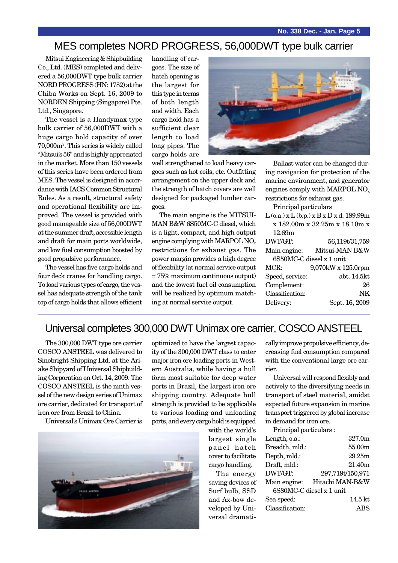### MES completes NORD PROGRESS, 56,000DWT type bulk carrier

Mitsui Engineering & Shipbuilding Co., Ltd. (MES) completed and delivered a 56,000DWT type bulk carrier NORD PROGRESS (HN: 1782) at the Chiba Works on Sept. 16, 2009 to NORDEN Shipping (Singapore) Pte. Ltd., Singapore.

The vessel is a Handymax type bulk carrier of 56,000DWT with a huge cargo hold capacity of over 70,000m3 . This series is widely called "Mitsui's 56" and is highly appreciated in the market. More than 150 vessels of this series have been ordered from MES. The vessel is designed in accordance with IACS Common Structural Rules. As a result, structural safety and operational flexibility are improved. The vessel is provided with good manageable size of 56,000DWT at the summer draft, accessible length and draft for main ports worldwide, and low fuel consumption boosted by good propulsive performance.

The vessel has five cargo holds and four deck cranes for handling cargo. To load various types of cargo, the vessel has adequate strength of the tank top of cargo holds that allows efficient handling of cargoes. The size of hatch opening is the largest for this type in terms of both length and width. Each cargo hold has a sufficient clear length to load long pipes. The cargo holds are



well strengthened to load heavy cargoes such as hot coils, etc. Outfitting arrangement on the upper deck and the strength of hatch covers are well designed for packaged lumber cargoes.

The main engine is the MITSUI-MAN B&W 6S50MC-C diesel, which is a light, compact, and high output engine complying with MARPOL NO<sub>x</sub> restrictions for exhaust gas. The power margin provides a high degree of flexibility (at normal service output = 75% maximum continuous output) and the lowest fuel oil consumption will be realized by optimum matching at normal service output.

Ballast water can be changed during navigation for protection of the marine environment, and generator engines comply with MARPOL NO<sub>x</sub> restrictions for exhaust gas.

Principal particulars

| $L$ (o.a.) x $L$ (b.p.) x $B$ x $D$ x d: 189.99m |                               |  |
|--------------------------------------------------|-------------------------------|--|
|                                                  | x 182.00m x 32.25m x 18.10m x |  |
| 12.69m                                           |                               |  |
| DWT/GT:                                          | 56,119t/31,759                |  |
| Main engine:                                     | Mitsui-MAN B&W                |  |
|                                                  | 6S50MC-C diesel x 1 unit      |  |
| MCR:                                             | 9,070kW x 125.0rpm            |  |
| Speed, service:                                  | abt. 14.5kt                   |  |
| Complement:                                      | 26                            |  |
| Classification:                                  | NK                            |  |
| Delivery:                                        | Sept. 16, 2009                |  |
|                                                  |                               |  |

#### Universal completes 300,000 DWT Unimax ore carrier, COSCO ANSTEEL

The 300,000 DWT type ore carrier COSCO ANSTEEL was delivered to Sinobright Shipping Ltd. at the Ariake Shipyard of Universal Shipbuilding Corporation on Oct. 14, 2009. The COSCO ANSTEEL is the ninth vessel of the new design series of Unimax ore carrier, dedicated for transport of iron ore from Brazil to China.

Universal's Unimax Ore Carrier is

optimized to have the largest capacity of the 300,000 DWT class to enter major iron ore loading ports in Western Australia, while having a hull form most suitable for deep water ports in Brazil, the largest iron ore shipping country. Adequate hull strength is provided to be applicable to various loading and unloading ports, and every cargo hold is equipped

with the world's largest single panel hatch cover to facilitate cargo handling.

The energy saving devices of Surf bulb, SSD and Ax-bow developed by Universal dramatically improve propulsive efficiency, decreasing fuel consumption compared with the conventional large ore carrier.

Universal will respond flexibly and actively to the diversifying needs in transport of steel material, amidst expected future expansion in marine transport triggered by global increase in demand for iron ore.

Principal particulars :

| 327.0m                   |  |  |
|--------------------------|--|--|
| Breadth, mld.:<br>55.00m |  |  |
| 29.25m                   |  |  |
| 21.40 <sub>m</sub>       |  |  |
| 297,719t/150,971         |  |  |
| Hitachi MAN-B&W          |  |  |
| 6S80MC-C diesel x 1 unit |  |  |
| 14.5 <sub>kt</sub>       |  |  |
|                          |  |  |
|                          |  |  |